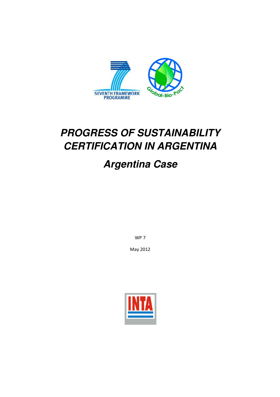

# **PROGRESS OF SUSTAINABILITY CERTIFICATION IN ARGENTINA**

# **Argentina Case**

WP 7

May 2012

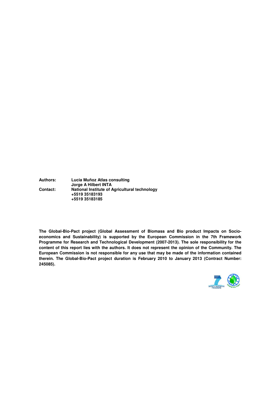**Authors: Lucia Muñoz Atlas consulting Jorge A Hilbert INTA**<br>**Contact: Mational Institute of A National Institute of Agricultural technology +5519 35183193 +5519 35183185** 

**The Global-Bio-Pact project (Global Assessment of Biomass and Bio product Impacts on Socioeconomics and Sustainability) is supported by the European Commission in the 7th Framework Programme for Research and Technological Development (2007-2013). The sole responsibility for the content of this report lies with the authors. It does not represent the opinion of the Community. The European Commission is not responsible for any use that may be made of the information contained therein. The Global-Bio-Pact project duration is February 2010 to January 2013 (Contract Number: 245085).** 

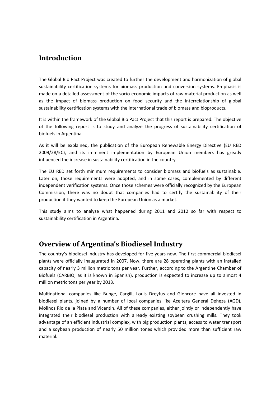## **Introduction**

The Global Bio Pact Project was created to further the development and harmonization of global sustainability certification systems for biomass production and conversion systems. Emphasis is made on a detailed assessment of the socio-economic impacts of raw material production as well as the impact of biomass production on food security and the interrelationship of global sustainability certification systems with the international trade of biomass and bioproducts.

It is within the framework of the Global Bio Pact Project that this report is prepared. The objective of the following report is to study and analyze the progress of sustainability certification of biofuels in Argentina.

As it will be explained, the publication of the European Renewable Energy Directive (EU RED 2009/28/EC), and its imminent implementation by European Union members has greatly influenced the increase in sustainability certification in the country.

The EU RED set forth minimum requirements to consider biomass and biofuels as sustainable. Later on, those requirements were adopted, and in some cases, complemented by different independent verification systems. Once those schemes were officially recognized by the European Commission, there was no doubt that companies had to certify the sustainability of their production if they wanted to keep the European Union as a market.

This study aims to analyze what happened during 2011 and 2012 so far with respect to sustainability certification in Argentina.

## **Overview of Argentina's Biodiesel Industry**

The country's biodiesel industry has developed for five years now. The first commercial biodiesel plants were officially inaugurated in 2007. Now, there are 28 operating plants with an installed capacity of nearly 3 million metric tons per year. Further, according to the Argentine Chamber of Biofuels (CARBIO, as it is known in Spanish), production is expected to increase up to almost 4 million metric tons per year by 2013.

Multinational companies like Bunge, Cargill, Louis Dreyfus and Glencore have all invested in biodiesel plants, joined by a number of local companies like Aceitera General Deheza (AGD), Molinos Rio de la Plata and Vicentin. All of these companies, either jointly or independently have integrated their biodiesel production with already existing soybean crushing mills. They took advantage of an efficient industrial complex, with big production plants, access to water transport and a soybean production of nearly 50 million tones which provided more than sufficient raw material.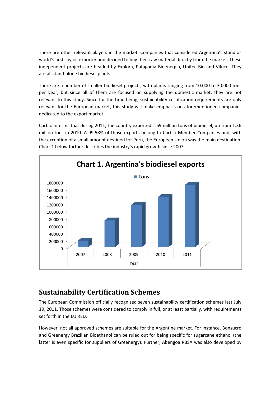There are other relevant players in the market. Companies that considered Argentina's stand as world's first soy oil exporter and decided to buy their raw material directly from the market. These independent projects are headed by Explora, Patagonia Bioenergia, Unitec Bio and Viluco. They are all stand-alone biodiesel plants.

There are a number of smaller biodiesel projects, with plants ranging from 10.000 to 30.000 tons per year, but since all of them are focused on supplying the domestic market, they are not relevant to this study. Since for the time being, sustainability certification requirements are only relevant for the European market, this study will make emphasis on aforementioned companies dedicated to the export market.

Carbio informs that during 2011, the country exported 1.69 million tons of biodiesel, up from 1.36 million tons in 2010. A 99.58% of those exports belong to Carbio Member Companies and, with the exception of a small amount destined for Peru, the European Union was the main destination. Chart 1 below further describes the industry's rapid growth since 2007.



## **Sustainability Certification Schemes**

The European Commission officially recognized seven sustainability certification schemes last July 19, 2011. Those schemes were considered to comply in full, or at least partially, with requirements set forth in the EU RED.

However, not all approved schemes are suitable for the Argentine market. For instance, Bonsucro and Greenergy Brazilian Bioethanol can be ruled out for being specific for sugarcane ethanol (the latter is even specific for suppliers of Greenergy). Further, Abengoa RBSA was also developed by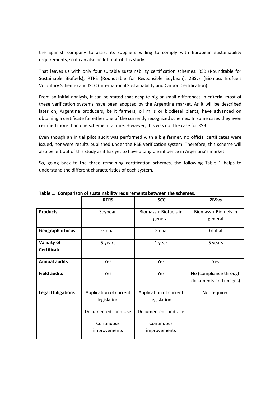the Spanish company to assist its suppliers willing to comply with European sustainability requirements, so it can also be left out of this study.

That leaves us with only four suitable sustainability certification schemes: RSB (Roundtable for Sustainable Biofuels), RTRS (Roundtable for Responsible Soybean), 2BSvs (Biomass Biofuels Voluntary Scheme) and ISCC (International Sustainability and Carbon Certification).

From an initial analysis, it can be stated that despite big or small differences in criteria, most of these verification systems have been adopted by the Argentine market. As it will be described later on, Argentine producers, be it farmers, oil mills or biodiesel plants; have advanced on obtaining a certificate for either one of the currently recognized schemes. In some cases they even certified more than one scheme at a time. However, this was not the case for RSB.

Even though an initial pilot audit was performed with a big farmer, no official certificates were issued, nor were results published under the RSB verification system. Therefore, this scheme will also be left out of this study as it has yet to have a tangible influence in Argentina's market.

So, going back to the three remaining certification schemes, the following Table 1 helps to understand the different characteristics of each system.

|                          | <b>RTRS</b>            | <b>ISCC</b>            | 2BSvs                  |
|--------------------------|------------------------|------------------------|------------------------|
| <b>Products</b>          | Soybean                | Biomass + Biofuels in  | Biomass + Biofuels in  |
|                          |                        | general                | general                |
| <b>Geographic focus</b>  | Global                 | Global                 | Global                 |
| Validity of              | 5 years                | 1 year                 | 5 years                |
| <b>Certificate</b>       |                        |                        |                        |
| <b>Annual audits</b>     | Yes                    | Yes                    | Yes                    |
| <b>Field audits</b>      | <b>Yes</b>             | Yes                    | No (compliance through |
|                          |                        |                        | documents and images)  |
| <b>Legal Obligations</b> | Application of current | Application of current | Not required           |
|                          | legislation            | legislation            |                        |
|                          | Documented Land Use    | Documented Land Use    |                        |
|                          | Continuous             | Continuous             |                        |
|                          | improvements           | improvements           |                        |
|                          |                        |                        |                        |

**Table 1. Comparison of sustainability requirements between the schemes.**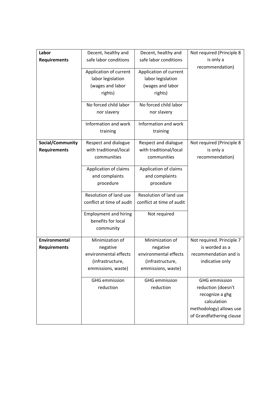| Labor                                   | Decent, healthy and                                                                            | Decent, healthy and                                                                            | Not required (Principle 8                                                                                                           |
|-----------------------------------------|------------------------------------------------------------------------------------------------|------------------------------------------------------------------------------------------------|-------------------------------------------------------------------------------------------------------------------------------------|
| <b>Requirements</b>                     | safe labor conditions                                                                          | safe labor conditions                                                                          | is only a<br>recommendation)                                                                                                        |
|                                         | Application of current<br>labor legislation<br>(wages and labor<br>rights)                     | Application of current<br>labor legislation<br>(wages and labor<br>rights)                     |                                                                                                                                     |
|                                         | No forced child labor<br>nor slavery                                                           | No forced child labor<br>nor slavery                                                           |                                                                                                                                     |
|                                         | Information and work<br>training                                                               | Information and work<br>training                                                               |                                                                                                                                     |
| Social/Community<br><b>Requirements</b> | Respect and dialogue<br>with traditional/local<br>communities                                  | Respect and dialogue<br>with traditional/local<br>communities                                  | Not required (Principle 8<br>is only a<br>recommendation)                                                                           |
|                                         | Application of claims<br>and complaints<br>procedure                                           | Application of claims<br>and complaints<br>procedure                                           |                                                                                                                                     |
|                                         | Resolution of land use<br>conflict at time of audit                                            | Resolution of land use<br>conflict at time of audit                                            |                                                                                                                                     |
|                                         | <b>Employment and hiring</b><br>benefits for local<br>community                                | Not required                                                                                   |                                                                                                                                     |
| Environmental<br><b>Requirements</b>    | Minimization of<br>negative<br>environmental effects<br>(infrastructure,<br>emmissions, waste) | Minimization of<br>negative<br>environmental effects<br>(infrastructure,<br>emmissions, waste) | Not required. Principle 7<br>is worded as a<br>recommendation and is<br>indicative only                                             |
|                                         | <b>GHG</b> emmission<br>reduction                                                              | <b>GHG</b> emmission<br>reduction                                                              | <b>GHG</b> emmission<br>reduction (doesn't<br>recognize a ghg<br>calculation<br>methodology) allows use<br>of Grandfathering clause |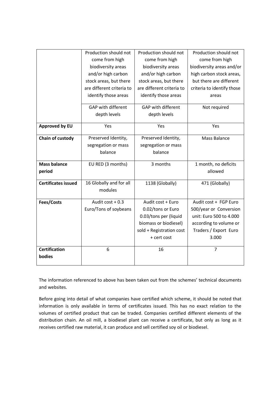|                            | Production should not     | Production should not     | Production should not      |
|----------------------------|---------------------------|---------------------------|----------------------------|
|                            | come from high            | come from high            | come from high             |
|                            | biodiversity areas        | biodiversity areas        | biodiversity areas and/or  |
|                            | and/or high carbon        | and/or high carbon        | high carbon stock areas,   |
|                            | stock areas, but there    | stock areas, but there    | but there are different    |
|                            | are different criteria to | are different criteria to | criteria to identify those |
|                            | identify those areas      | identify those areas      | areas                      |
|                            | <b>GAP with different</b> | <b>GAP with different</b> | Not required               |
|                            | depth levels              | depth levels              |                            |
| <b>Approved by EU</b>      | Yes                       | Yes                       | Yes                        |
| Chain of custody           | Preserved Identity,       | Preserved Identity,       | Mass Balance               |
|                            | segregation or mass       | segregation or mass       |                            |
|                            | balance                   | balance                   |                            |
|                            |                           |                           |                            |
| <b>Mass balance</b>        | EU RED (3 months)         | 3 months                  | 1 month, no deficits       |
| period                     |                           |                           | allowed                    |
| <b>Certificates issued</b> | 16 Globally and for all   | 1138 (Globally)           | 471 (Globally)             |
|                            | modules                   |                           |                            |
| Fees/Costs                 | Audit $cost + 0.3$        | Audit cost + Euro         | Audit cost + FGP Euro      |
|                            | Euro/Tons of soybeans     | 0.02/tons or Euro         | 500/year or Conversion     |
|                            |                           | 0.03/tons per (liquid     | unit: Euro 500 to 4.000    |
|                            |                           | biomass or biodiesel)     | according to volume or     |
|                            |                           | sold + Registration cost  | Traders / Export Euro      |
|                            |                           | + cert cost               | 3.000                      |
| <b>Certification</b>       | 6                         | 16                        | $\overline{7}$             |
| bodies                     |                           |                           |                            |
|                            |                           |                           |                            |

The information referenced to above has been taken out from the schemes' technical documents and websites.

Before going into detail of what companies have certified which scheme, it should be noted that information is only available in terms of certificates issued. This has no exact relation to the volumes of certified product that can be traded. Companies certified different elements of the distribution chain. An oil mill, a biodiesel plant can receive a certificate, but only as long as it receives certified raw material, it can produce and sell certified soy oil or biodiesel.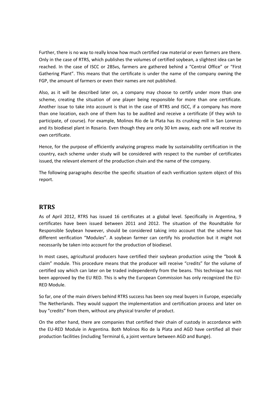Further, there is no way to really know how much certified raw material or even farmers are there. Only in the case of RTRS, which publishes the volumes of certified soybean, a slightest idea can be reached. In the case of ISCC or 2BSvs, farmers are gathered behind a "Central Office" or "First Gathering Plant". This means that the certificate is under the name of the company owning the FGP, the amount of farmers or even their names are not published.

Also, as it will be described later on, a company may choose to certify under more than one scheme, creating the situation of one player being responsible for more than one certificate. Another issue to take into account is that in the case of RTRS and ISCC, if a company has more than one location, each one of them has to be audited and receive a certificate (if they wish to participate, of course). For example, Molinos Río de la Plata has its crushing mill in San Lorenzo and its biodiesel plant in Rosario. Even though they are only 30 km away, each one will receive its own certificate.

Hence, for the purpose of efficiently analyzing progress made by sustainability certification in the country, each scheme under study will be considered with respect to the number of certificates issued, the relevant element of the production chain and the name of the company.

The following paragraphs describe the specific situation of each verification system object of this report.

#### **RTRS**

As of April 2012, RTRS has issued 16 certificates at a global level. Specifically in Argentina, 9 certificates have been issued between 2011 and 2012. The situation of the Roundtable for Responsible Soybean however, should be considered taking into account that the scheme has different verification "Modules". A soybean farmer can certify his production but it might not necessarily be taken into account for the production of biodiesel.

In most cases, agricultural producers have certified their soybean production using the "book & claim" module. This procedure means that the producer will receive "credits" for the volume of certified soy which can later on be traded independently from the beans. This technique has not been approved by the EU RED. This is why the European Commission has only recognized the EU-RED Module.

So far, one of the main drivers behind RTRS success has been soy meal buyers in Europe, especially The Netherlands. They would support the implementation and certification process and later on buy "credits" from them, without any physical transfer of product.

On the other hand, there are companies that certified their chain of custody in accordance with the EU-RED Module in Argentina. Both Molinos Rio de la Plata and AGD have certified all their production facilities (including Terminal 6, a joint venture between AGD and Bunge).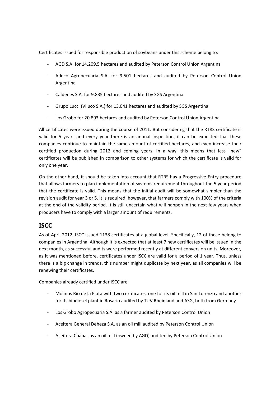Certificates issued for responsible production of soybeans under this scheme belong to:

- AGD S.A. for 14.209,5 hectares and audited by Peterson Control Union Argentina
- Adeco Agropecuaria S.A. for 9.501 hectares and audited by Peterson Control Union Argentina
- Caldenes S.A. for 9.835 hectares and audited by SGS Argentina
- Grupo Lucci (Viluco S.A.) for 13.041 hectares and audited by SGS Argentina
- Los Grobo for 20.893 hectares and audited by Peterson Control Union Argentina

All certificates were issued during the course of 2011. But considering that the RTRS certificate is valid for 5 years and every year there is an annual inspection, it can be expected that these companies continue to maintain the same amount of certified hectares, and even increase their certified production during 2012 and coming years. In a way, this means that less "new" certificates will be published in comparison to other systems for which the certificate is valid for only one year.

On the other hand, it should be taken into account that RTRS has a Progressive Entry procedure that allows farmers to plan implementation of systems requirement throughout the 5 year period that the certificate is valid. This means that the initial audit will be somewhat simpler than the revision audit for year 3 or 5. It is required, however, that farmers comply with 100% of the criteria at the end of the validity period. It is still uncertain what will happen in the next few years when producers have to comply with a larger amount of requirements.

#### **ISCC**

As of April 2012, ISCC issued 1138 certificates at a global level. Specifically, 12 of those belong to companies in Argentina. Although it is expected that at least 7 new certificates will be issued in the next month, as successful audits were performed recently at different conversion units. Moreover, as it was mentioned before, certificates under ISCC are valid for a period of 1 year. Thus, unless there is a big change in trends, this number might duplicate by next year, as all companies will be renewing their certificates.

Companies already certified under ISCC are:

- Molinos Rio de la Plata with two certificates, one for its oil mill in San Lorenzo and another for its biodiesel plant in Rosario audited by TUV Rheinland and ASG, both from Germany
- Los Grobo Agropecuaria S.A. as a farmer audited by Peterson Control Union
- Aceitera General Deheza S.A. as an oil mill audited by Peterson Control Union
- Aceitera Chabas as an oil mill (owned by AGD) audited by Peterson Control Union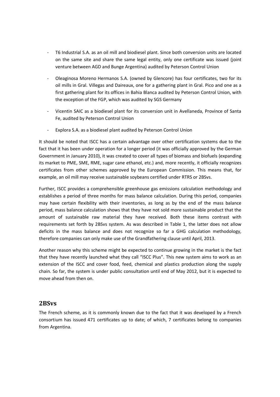- T6 Industrial S.A. as an oil mill and biodiesel plant. Since both conversion units are located on the same site and share the same legal entity, only one certificate was issued (joint venture between AGD and Bunge Argentina) audited by Peterson Control Union
- Oleaginosa Moreno Hermanos S.A. (owned by Glencore) has four certificates, two for its oil mills in Gral. Villegas and Daireaux, one for a gathering plant in Gral. Pico and one as a first gathering plant for its offices in Bahia Blanca audited by Peterson Control Union, with the exception of the FGP, which was audited by SGS Germany
- Vicentin SAIC as a biodiesel plant for its conversion unit in Avellaneda, Province of Santa Fe, audited by Peterson Control Union
- Explora S.A. as a biodiesel plant audited by Peterson Control Union

It should be noted that ISCC has a certain advantage over other certification systems due to the fact that it has been under operation for a longer period (it was officially approved by the German Government in January 2010), it was created to cover all types of biomass and biofuels (expanding its market to PME, SME, RME, sugar cane ethanol, etc.) and, more recently, it officially recognizes certificates from other schemes approved by the European Commission. This means that, for example, an oil mill may receive sustainable soybeans certified under RTRS or 2BSvs.

Further, ISCC provides a comprehensible greenhouse gas emissions calculation methodology and establishes a period of three months for mass balance calculation. During this period, companies may have certain flexibility with their inventories, as long as by the end of the mass balance period, mass balance calculation shows that they have not sold more sustainable product that the amount of sustainable raw material they have received. Both these items contrast with requirements set forth by 2BSvs system. As was described in Table 1, the latter does not allow deficits in the mass balance and does not recognize so far a GHG calculation methodology, therefore companies can only make use of the Grandfathering clause until April, 2013.

Another reason why this scheme might be expected to continue growing in the market is the fact that they have recently launched what they call "ISCC Plus". This new system aims to work as an extension of the ISCC and cover food, feed, chemical and plastics production along the supply chain. So far, the system is under public consultation until end of May 2012, but it is expected to move ahead from then on.

#### **2BSvs**

The French scheme, as it is commonly known due to the fact that it was developed by a French consortium has issued 471 certificates up to date; of which, 7 certificates belong to companies from Argentina.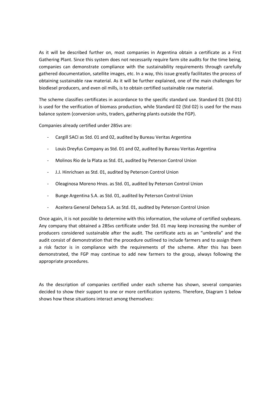As it will be described further on, most companies in Argentina obtain a certificate as a First Gathering Plant. Since this system does not necessarily require farm site audits for the time being, companies can demonstrate compliance with the sustainability requirements through carefully gathered documentation, satellite images, etc. In a way, this issue greatly facilitates the process of obtaining sustainable raw material. As it will be further explained, one of the main challenges for biodiesel producers, and even oil mills, is to obtain certified sustainable raw material.

The scheme classifies certificates in accordance to the specific standard use. Standard 01 (Std 01) is used for the verification of biomass production, while Standard 02 (Std 02) is used for the mass balance system (conversion units, traders, gathering plants outside the FGP).

Companies already certified under 2BSvs are:

- Cargill SACI as Std. 01 and 02, audited by Bureau Veritas Argentina
- Louis Dreyfus Company as Std. 01 and 02, audited by Bureau Veritas Argentina
- Molinos Rio de la Plata as Std. 01, audited by Peterson Control Union
- J.J. Hinrichsen as Std. 01, audited by Peterson Control Union
- Oleaginosa Moreno Hnos. as Std. 01, audited by Peterson Control Union
- Bunge Argentina S.A. as Std. 01, audited by Peterson Control Union
- Aceitera General Deheza S.A. as Std. 01, audited by Peterson Control Union

Once again, it is not possible to determine with this information, the volume of certified soybeans. Any company that obtained a 2BSvs certificate under Std. 01 may keep increasing the number of producers considered sustainable after the audit. The certificate acts as an "umbrella" and the audit consist of demonstration that the procedure outlined to include farmers and to assign them a risk factor is in compliance with the requirements of the scheme. After this has been demonstrated, the FGP may continue to add new farmers to the group, always following the appropriate procedures.

As the description of companies certified under each scheme has shown, several companies decided to show their support to one or more certification systems. Therefore, Diagram 1 below shows how these situations interact among themselves: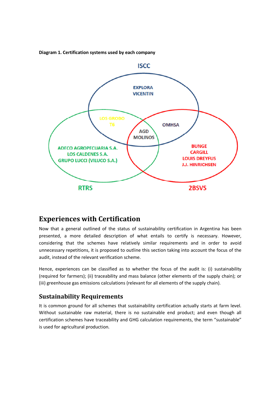**Diagram 1. Certification systems used by each company** 



### **Experiences with Certification**

Now that a general outlined of the status of sustainability certification in Argentina has been presented, a more detailed description of what entails to certify is necessary. However, considering that the schemes have relatively similar requirements and in order to avoid unnecessary repetitions, it is proposed to outline this section taking into account the focus of the audit, instead of the relevant verification scheme.

Hence, experiences can be classified as to whether the focus of the audit is: (i) sustainability (required for farmers); (ii) traceability and mass balance (other elements of the supply chain); or (iii) greenhouse gas emissions calculations (relevant for all elements of the supply chain).

#### **Sustainability Requirements**

It is common ground for all schemes that sustainability certification actually starts at farm level. Without sustainable raw material, there is no sustainable end product; and even though all certification schemes have traceability and GHG calculation requirements, the term "sustainable" is used for agricultural production.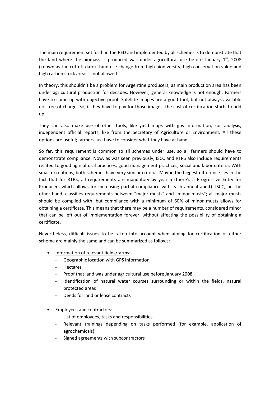The main requirement set forth in the RED and implemented by all schemes is to demonstrate that the land where the biomass is produced was under agricultural use before January  $1<sup>st</sup>$ , 2008 (known as the cut-off date). Land use change from high biodiversity, high conservation value and high carbon stock areas is not allowed.

In theory, this shouldn't be a problem for Argentine producers, as main production area has been under agricultural production for decades. However, general knowledge is not enough. Farmers have to come up with objective proof. Satellite images are a good tool, but not always available nor free of charge. So, if they have to pay for those images, the cost of certification starts to add up.

They can also make use of other tools, like yield maps with gps information, soil analysis, independent official reports, like from the Secretary of Agriculture or Environment. All these options are useful; farmers just have to consider what they have at hand.

So far, this requirement is common to all schemes under use, so all farmers should have to demonstrate compliance. Now, as was seen previously, ISCC and RTRS also include requirements related to good agricultural practices, good management practices, social and labor criteria. With small exceptions, both schemes have very similar criteria. Maybe the biggest difference lies in the fact that for RTRS, all requirements are mandatory by year 5 (there's a Progressive Entry for Producers which allows for increasing partial compliance with each annual audit). ISCC, on the other hand, classifies requirements between "major musts" and "minor musts"; all major musts should be complied with, but compliance with a minimum of 60% of minor musts allows for obtaining a certificate. This means that there may be a number of requirements, considered minor that can be left out of implementation forever, without affecting the possibility of obtaining a certificate.

Nevertheless, difficult issues to be taken into account when aiming for certification of either scheme are mainly the same and can be summarized as follows:

- Information of relevant fields/farms:
	- Geographic location with GPS information
	- **Hectares**
	- Proof that land was under agricultural use before January 2008
	- Identification of natural water courses surrounding or within the fields, natural protected areas
	- Deeds for land or lease contracts
- Employees and contractors:
	- List of employees, tasks and responsibilities
	- Relevant trainings depending on tasks performed (for example, application of agrochemicals)
	- Signed agreements with subcontractors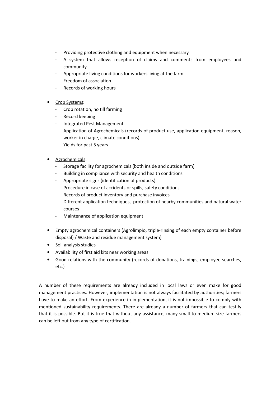- Providing protective clothing and equipment when necessary
- A system that allows reception of claims and comments from employees and community
- Appropriate living conditions for workers living at the farm
- Freedom of association
- Records of working hours
- Crop Systems:
	- Crop rotation, no till farming
	- Record keeping
	- Integrated Pest Management
	- Application of Agrochemicals (records of product use, application equipment, reason, worker in charge, climate conditions)
	- Yields for past 5 years
- Agrochemicals:
	- Storage facility for agrochemicals (both inside and outside farm)
	- Building in compliance with security and health conditions
	- Appropriate signs (identification of products)
	- Procedure in case of accidents or spills, safety conditions
	- Records of product inventory and purchase invoices
	- Different application techniques, protection of nearby communities and natural water courses
	- Maintenance of application equipment
- Empty agrochemical containers (Agrolimpio, triple-rinsing of each empty container before disposal) / Waste and residue management system)
- Soil analysis studies
- Availability of first aid kits near working areas
- Good relations with the community (records of donations, trainings, employee searches, etc.)

A number of these requirements are already included in local laws or even make for good management practices. However, implementation is not always facilitated by authorities; farmers have to make an effort. From experience in implementation, it is not impossible to comply with mentioned sustainability requirements. There are already a number of farmers that can testify that it is possible. But it is true that without any assistance, many small to medium size farmers can be left out from any type of certification.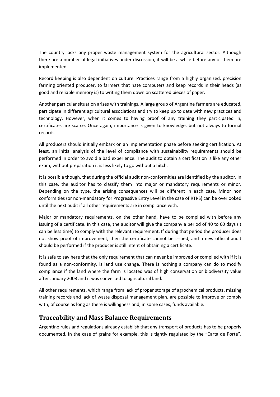The country lacks any proper waste management system for the agricultural sector. Although there are a number of legal initiatives under discussion, it will be a while before any of them are implemented.

Record keeping is also dependent on culture. Practices range from a highly organized, precision farming oriented producer, to farmers that hate computers and keep records in their heads (as good and reliable memory is) to writing them down on scattered pieces of paper.

Another particular situation arises with trainings. A large group of Argentine farmers are educated, participate in different agricultural associations and try to keep up to date with new practices and technology. However, when it comes to having proof of any training they participated in, certificates are scarce. Once again, importance is given to knowledge, but not always to formal records.

All producers should initially embark on an implementation phase before seeking certification. At least, an initial analysis of the level of compliance with sustainability requirements should be performed in order to avoid a bad experience. The audit to obtain a certification is like any other exam, without preparation it is less likely to go without a hitch.

It is possible though, that during the official audit non-conformities are identified by the auditor. In this case, the auditor has to classify them into major or mandatory requirements or minor. Depending on the type, the arising consequences will be different in each case. Minor non conformities (or non-mandatory for Progressive Entry Level in the case of RTRS) can be overlooked until the next audit if all other requirements are in compliance with.

Major or mandatory requirements, on the other hand, have to be complied with before any issuing of a certificate. In this case, the auditor will give the company a period of 40 to 60 days (it can be less time) to comply with the relevant requirement. If during that period the producer does not show proof of improvement, then the certificate cannot be issued, and a new official audit should be performed if the producer is still intent of obtaining a certificate.

It is safe to say here that the only requirement that can never be improved or complied with if it is found as a non-conformity, is land use change. There is nothing a company can do to modify compliance if the land where the farm is located was of high conservation or biodiversity value after January 2008 and it was converted to agricultural land.

All other requirements, which range from lack of proper storage of agrochemical products, missing training records and lack of waste disposal management plan, are possible to improve or comply with, of course as long as there is willingness and, in some cases, funds available.

#### **Traceability and Mass Balance Requirements**

Argentine rules and regulations already establish that any transport of products has to be properly documented. In the case of grains for example, this is tightly regulated by the "Carta de Porte".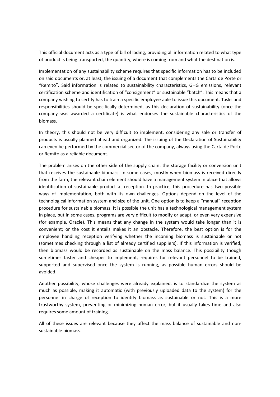This official document acts as a type of bill of lading, providing all information related to what type of product is being transported, the quantity, where is coming from and what the destination is.

Implementation of any sustainability scheme requires that specific information has to be included on said documents or, at least, the issuing of a document that complements the Carta de Porte or "Remito". Said information is related to sustainability characteristics, GHG emissions, relevant certification scheme and identification of "consignment" or sustainable "batch". This means that a company wishing to certify has to train a specific employee able to issue this document. Tasks and responsibilities should be specifically determined, as this declaration of sustainability (once the company was awarded a certificate) is what endorses the sustainable characteristics of the biomass.

In theory, this should not be very difficult to implement, considering any sale or transfer of products is usually planned ahead and organized. The issuing of the Declaration of Sustainability can even be performed by the commercial sector of the company, always using the Carta de Porte or Remito as a reliable document.

The problem arises on the other side of the supply chain: the storage facility or conversion unit that receives the sustainable biomass. In some cases, mostly when biomass is received directly from the farm, the relevant chain element should have a management system in place that allows identification of sustainable product at reception. In practice, this procedure has two possible ways of implementation, both with its own challenges. Options depend on the level of the technological information system and size of the unit. One option is to keep a "manual" reception procedure for sustainable biomass. It is possible the unit has a technological management system in place, but in some cases, programs are very difficult to modify or adapt, or even very expensive (for example, Oracle). This means that any change in the system would take longer than it is convenient; or the cost it entails makes it an obstacle. Therefore, the best option is for the employee handling reception verifying whether the incoming biomass is sustainable or not (sometimes checking through a list of already certified suppliers). If this information is verified, then biomass would be recorded as sustainable on the mass balance. This possibility though sometimes faster and cheaper to implement, requires for relevant personnel to be trained, supported and supervised once the system is running, as possible human errors should be avoided.

Another possibility, whose challenges were already explained, is to standardize the system as much as possible, making it automatic (with previously uploaded data to the system) for the personnel in charge of reception to identify biomass as sustainable or not. This is a more trustworthy system, preventing or minimizing human error, but it usually takes time and also requires some amount of training.

All of these issues are relevant because they affect the mass balance of sustainable and nonsustainable biomass.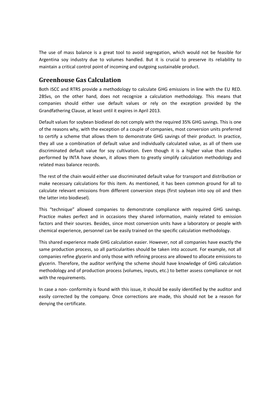The use of mass balance is a great tool to avoid segregation, which would not be feasible for Argentina soy industry due to volumes handled. But it is crucial to preserve its reliability to maintain a critical control point of incoming and outgoing sustainable product.

### **Greenhouse Gas Calculation**

Both ISCC and RTRS provide a methodology to calculate GHG emissions in line with the EU RED. 2BSvs, on the other hand, does not recognize a calculation methodology. This means that companies should either use default values or rely on the exception provided by the Grandfathering Clause, at least until it expires in April 2013.

Default values for soybean biodiesel do not comply with the required 35% GHG savings. This is one of the reasons why, with the exception of a couple of companies, most conversion units preferred to certify a scheme that allows them to demonstrate GHG savings of their product. In practice, they all use a combination of default value and individually calculated value, as all of them use discriminated default value for soy cultivation. Even though it is a higher value than studies performed by INTA have shown, it allows them to greatly simplify calculation methodology and related mass balance records.

The rest of the chain would either use discriminated default value for transport and distribution or make necessary calculations for this item. As mentioned, it has been common ground for all to calculate relevant emissions from different conversion steps (first soybean into soy oil and then the latter into biodiesel).

This "technique" allowed companies to demonstrate compliance with required GHG savings. Practice makes perfect and in occasions they shared information, mainly related to emission factors and their sources. Besides, since most conversion units have a laboratory or people with chemical experience, personnel can be easily trained on the specific calculation methodology.

This shared experience made GHG calculation easier. However, not all companies have exactly the same production process, so all particularities should be taken into account. For example, not all companies refine glycerin and only those with refining process are allowed to allocate emissions to glycerin. Therefore, the auditor verifying the scheme should have knowledge of GHG calculation methodology and of production process (volumes, inputs, etc.) to better assess compliance or not with the requirements.

In case a non- conformity is found with this issue, it should be easily identified by the auditor and easily corrected by the company. Once corrections are made, this should not be a reason for denying the certificate.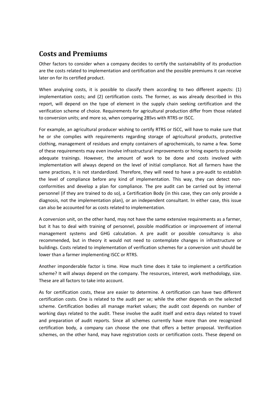## **Costs and Premiums**

Other factors to consider when a company decides to certify the sustainability of its production are the costs related to implementation and certification and the possible premiums it can receive later on for its certified product.

When analyzing costs, it is possible to classify them according to two different aspects: (1) implementation costs; and (2) certification costs. The former, as was already described in this report, will depend on the type of element in the supply chain seeking certification and the verification scheme of choice. Requirements for agricultural production differ from those related to conversion units; and more so, when comparing 2BSvs with RTRS or ISCC.

For example, an agricultural producer wishing to certify RTRS or ISCC, will have to make sure that he or she complies with requirements regarding storage of agricultural products, protective clothing, management of residues and empty containers of agrochemicals, to name a few. Some of these requirements may even involve infrastructural improvements or hiring experts to provide adequate trainings. However, the amount of work to be done and costs involved with implementation will always depend on the level of initial compliance. Not all farmers have the same practices, it is not standardized. Therefore, they will need to have a pre-audit to establish the level of compliance before any kind of implementation. This way, they can detect nonconformities and develop a plan for compliance. The pre audit can be carried out by internal personnel (if they are trained to do so), a Certification Body (in this case, they can only provide a diagnosis, not the implementation plan), or an independent consultant. In either case, this issue can also be accounted for as costs related to implementation.

A conversion unit, on the other hand, may not have the same extensive requirements as a farmer, but it has to deal with training of personnel, possible modification or improvement of internal management systems and GHG calculation. A pre audit or possible consultancy is also recommended, but in theory it would not need to contemplate changes in infrastructure or buildings. Costs related to implementation of verification schemes for a conversion unit should be lower than a farmer implementing ISCC or RTRS.

Another imponderable factor is time. How much time does it take to implement a certification scheme? It will always depend on the company. The resources, interest, work methodology, size. These are all factors to take into account.

As for certification costs, these are easier to determine. A certification can have two different certification costs. One is related to the audit per se; while the other depends on the selected scheme. Certification bodies all manage market values; the audit cost depends on number of working days related to the audit. These involve the audit itself and extra days related to travel and preparation of audit reports. Since all schemes currently have more than one recognized certification body, a company can choose the one that offers a better proposal. Verification schemes, on the other hand, may have registration costs or certification costs. These depend on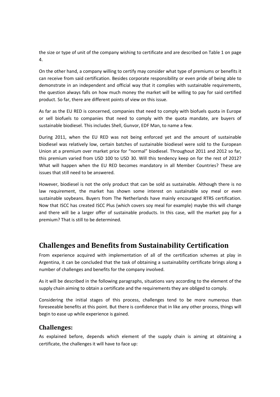the size or type of unit of the company wishing to certificate and are described on Table 1 on page 4.

On the other hand, a company willing to certify may consider what type of premiums or benefits it can receive from said certification. Besides corporate responsibility or even pride of being able to demonstrate in an independent and official way that it complies with sustainable requirements, the question always falls on how much money the market will be willing to pay for said certified product. So far, there are different points of view on this issue.

As far as the EU RED is concerned, companies that need to comply with biofuels quota in Europe or sell biofuels to companies that need to comply with the quota mandate, are buyers of sustainable biodiesel. This includes Shell, Gunvor, EDF Man, to name a few.

During 2011, when the EU RED was not being enforced yet and the amount of sustainable biodiesel was relatively low, certain batches of sustainable biodiesel were sold to the European Union at a premium over market price for "normal" biodiesel. Throughout 2011 and 2012 so far, this premium varied from USD 100 to USD 30. Will this tendency keep on for the rest of 2012? What will happen when the EU RED becomes mandatory in all Member Countries? These are issues that still need to be answered.

However, biodiesel is not the only product that can be sold as sustainable. Although there is no law requirement, the market has shown some interest on sustainable soy meal or even sustainable soybeans. Buyers from The Netherlands have mainly encouraged RTRS certification. Now that ISCC has created ISCC Plus (which covers soy meal for example) maybe this will change and there will be a larger offer of sustainable products. In this case, will the market pay for a premium? That is still to be determined.

## **Challenges and Benefits from Sustainability Certification**

From experience acquired with implementation of all of the certification schemes at play in Argentina, it can be concluded that the task of obtaining a sustainability certificate brings along a number of challenges and benefits for the company involved.

As it will be described in the following paragraphs, situations vary according to the element of the supply chain aiming to obtain a certificate and the requirements they are obliged to comply.

Considering the initial stages of this process, challenges tend to be more numerous than foreseeable benefits at this point. But there is confidence that in like any other process, things will begin to ease up while experience is gained.

#### **Challenges:**

As explained before, depends which element of the supply chain is aiming at obtaining a certificate, the challenges it will have to face up: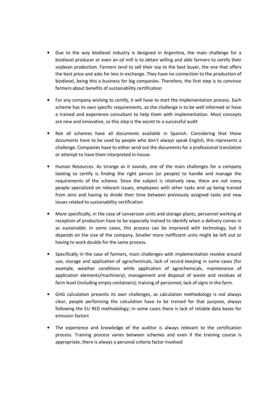- Due to the way biodiesel industry is designed in Argentina, the main challenge for a biodiesel producer or even an oil mill is to obtain willing and able farmers to certify their soybean production. Farmers tend to sell their soy to the best buyer, the one that offers the best price and asks for less in exchange. They have no connection to the production of biodiesel, being this a business for big companies. Therefore, the first step is to convince farmers about benefits of sustainability certification
- For any company wishing to certify, it will have to start the implementation process. Each scheme has its own specific requirements, so the challenge is to be well informed or have a trained and experience consultant to help them with implementation. Most concepts are new and innovative, so this step is the secret to a successful audit
- Not all schemes have all documents available in Spanish. Considering that those documents have to be used by people who don't always speak English, this represents a challenge. Companies have to either send out the documents for a professional translation or attempt to have them interpreted in-house.
- Human Resources. As strange as it sounds, one of the main challenges for a company looking to certify is finding the right person (or people) to handle and manage the requirements of the scheme. Since the subject is relatively new, there are not many people specialized on relevant issues, employees with other tasks end up being trained from zero and having to divide their time between previously assigned tasks and new issues related to sustainability certification
- More specifically, in the case of conversion units and storage plants, personnel working at reception of production have to be especially trained to identify when a delivery comes in as sustainable. In some cases, this process can be improved with technology, but it depends on the size of the company. Smaller more inefficient units might be left out or having to work double for the same process.
- Specifically in the case of farmers, main challenges with implementation revolve around use, storage and application of agrochemicals, lack of record keeping in some cases (for example, weather conditions while application of agrochemicals, maintenance of application elements/machinery); management and disposal of waste and residues at farm level (including empty containers); training of personnel; lack of signs in the farm.
- GHG calculation presents its own challenges, as calculation methodology is not always clear, people performing the calculation have to be trained for that purpose, always following the EU RED methodology; in some cases there is lack of reliable data bases for emission factors
- The experience and knowledge of the auditor is always relevant to the certification process. Training process varies between schemes and even if the training course is appropriate, there is always a personal criteria factor involved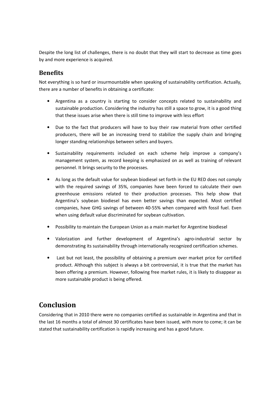Despite the long list of challenges, there is no doubt that they will start to decrease as time goes by and more experience is acquired.

#### **Benefits**

Not everything is so hard or insurmountable when speaking of sustainability certification. Actually, there are a number of benefits in obtaining a certificate:

- Argentina as a country is starting to consider concepts related to sustainability and sustainable production. Considering the industry has still a space to grow, it is a good thing that these issues arise when there is still time to improve with less effort
- Due to the fact that producers will have to buy their raw material from other certified producers, there will be an increasing trend to stabilize the supply chain and bringing longer standing relationships between sellers and buyers.
- Sustainability requirements included on each scheme help improve a company's management system, as record keeping is emphasized on as well as training of relevant personnel. It brings security to the processes.
- As long as the default value for soybean biodiesel set forth in the EU RED does not comply with the required savings of 35%, companies have been forced to calculate their own greenhouse emissions related to their production processes. This help show that Argentina's soybean biodiesel has even better savings than expected. Most certified companies, have GHG savings of between 40-55% when compared with fossil fuel. Even when using default value discriminated for soybean cultivation.
- Possibility to maintain the European Union as a main market for Argentine biodiesel
- Valorization and further development of Argentina's agro-industrial sector by demonstrating its sustainability through internationally recognized certification schemes.
- Last but not least, the possibility of obtaining a premium over market price for certified product. Although this subject is always a bit controversial, it is true that the market has been offering a premium. However, following free market rules, it is likely to disappear as more sustainable product is being offered.

## **Conclusion**

Considering that in 2010 there were no companies certified as sustainable in Argentina and that in the last 16 months a total of almost 30 certificates have been issued, with more to come; it can be stated that sustainability certification is rapidly increasing and has a good future.